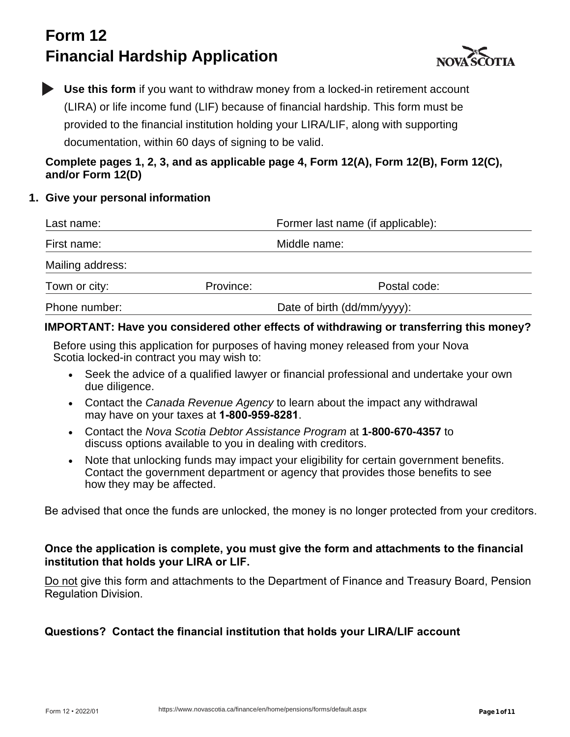# **Form 12 Financial Hardship Application**



**Use this form** if you want to withdraw money from a locked-in retirement account (LIRA) or life income fund (LIF) because of financial hardship. This form must be provided to the financial institution holding your LIRA/LIF, along with supporting documentation, within 60 days of signing to be valid.

## **Complete pages 1, 2, 3, and as applicable page 4, Form 12(A), Form 12(B), Form 12(C), and/or Form 12(D)**

### **1. Give your personal information**

| Last name:       |           | Former last name (if applicable): |  |
|------------------|-----------|-----------------------------------|--|
| First name:      |           | Middle name:                      |  |
| Mailing address: |           |                                   |  |
| Town or city:    | Province: | Postal code:                      |  |
| Phone number:    |           | Date of birth (dd/mm/yyyy):       |  |

### **IMPORTANT: Have you considered other effects of withdrawing or transferring this money?**

Before using this application for purposes of having money released from your Nova Scotia locked-in contract you may wish to:

- Seek the advice of a qualified lawyer or financial professional and undertake your own due diligence.
- Contact the *Canada Revenue Agency* to learn about the impact any withdrawal may have on your taxes at **1-800-959-8281**.
- Contact the *Nova Scotia Debtor Assistance Program* at **1-800-670-4357** to discuss options available to you in dealing with creditors.
- Note that unlocking funds may impact your eligibility for certain government benefits. Contact the government department or agency that provides those benefits to see how they may be affected.

Be advised that once the funds are unlocked, the money is no longer protected from your creditors.

#### **Once the application is complete, you must give the form and attachments to the financial institution that holds your LIRA or LIF.**

Do not give this form and attachments to the Department of Finance and Treasury Board, Pension Regulation Division.

### **Questions?****Contact the financial institution that holds your LIRA/LIF account**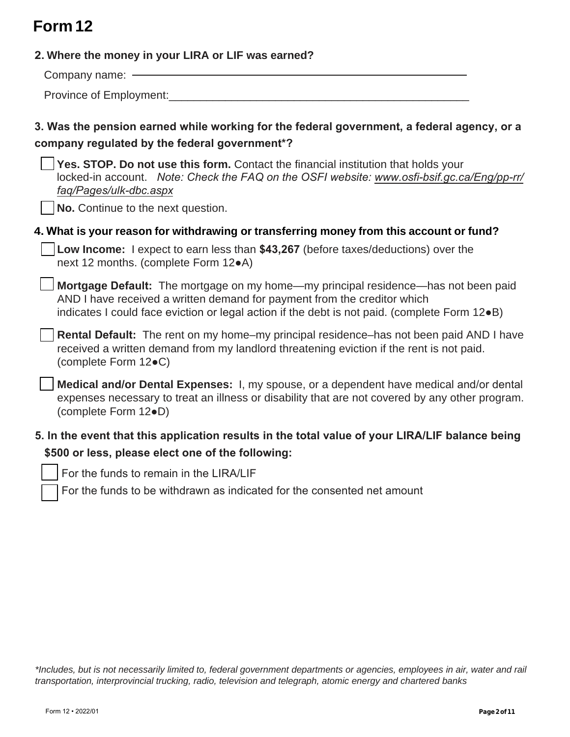# **Form 12**

| 2. Where the money in your LIRA or LIF was earned?                                                                                                                                                                                                              |
|-----------------------------------------------------------------------------------------------------------------------------------------------------------------------------------------------------------------------------------------------------------------|
| Company name: -                                                                                                                                                                                                                                                 |
| Province of Employment:_________                                                                                                                                                                                                                                |
| 3. Was the pension earned while working for the federal government, a federal agency, or a<br>company regulated by the federal government*?                                                                                                                     |
| Yes. STOP. Do not use this form. Contact the financial institution that holds your<br>locked-in account. Note: Check the FAQ on the OSFI website: www.osfi-bsif.gc.ca/Eng/pp-rr/<br>faq/Pages/ulk-dbc.aspx                                                      |
| No. Continue to the next question.                                                                                                                                                                                                                              |
| 4. What is your reason for withdrawing or transferring money from this account or fund?                                                                                                                                                                         |
| Low Income: I expect to earn less than \$43,267 (before taxes/deductions) over the<br>next 12 months. (complete Form 12 $\bullet$ A)                                                                                                                            |
| Mortgage Default: The mortgage on my home—my principal residence—has not been paid<br>AND I have received a written demand for payment from the creditor which<br>indicates I could face eviction or legal action if the debt is not paid. (complete Form 12.B) |
| <b>Rental Default:</b> The rent on my home-my principal residence-has not been paid AND I have<br>received a written demand from my landlord threatening eviction if the rent is not paid.<br>(complete Form 12●C)                                              |
| Medical and/or Dental Expenses: I, my spouse, or a dependent have medical and/or dental<br>expenses necessary to treat an illness or disability that are not covered by any other program.<br>(complete Form 12.D)                                              |
| 5. In the event that this application results in the total value of your LIRA/LIF balance being<br>\$500 or less, please elect one of the following:                                                                                                            |

For the funds to remain in the LIRA/LIF

For the funds to be withdrawn as indicated for the consented net amount

*\*Includes, but is not necessarily limited to, federal government departments or agencies, employees in air, water and rail transportation, interprovincial trucking, radio, television and telegraph, atomic energy and chartered banks*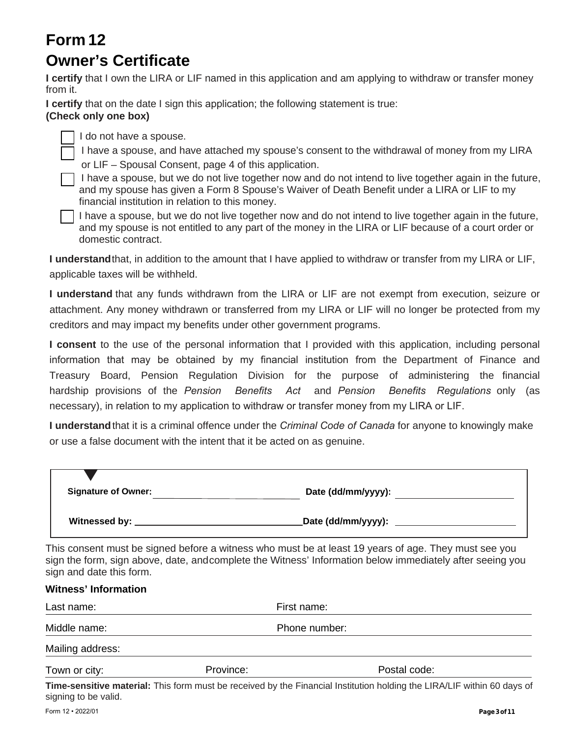## **Form 12 Owner's Certificate**

**I certify** that I own the LIRA or LIF named in this application and am applying to withdraw or transfer money from it.

**I certify** that on the date I sign this application; the following statement is true:

### **(Check only one box)**



I do not have a spouse.

I have a spouse, and have attached my spouse's consent to the withdrawal of money from my LIRA or LIF – Spousal Consent, page 4 of this application.

I have a spouse, but we do not live together now and do not intend to live together again in the future, and my spouse has given a Form 8 Spouse's Waiver of Death Benefit under a LIRA or LIF to my financial institution in relation to this money.

I have a spouse, but we do not live together now and do not intend to live together again in the future, and my spouse is not entitled to any part of the money in the LIRA or LIF because of a court order or domestic contract.

**I understand**that, in addition to the amount that I have applied to withdraw or transfer from my LIRA or LIF, applicable taxes will be withheld.

**I understand** that any funds withdrawn from the LIRA or LIF are not exempt from execution, seizure or attachment. Any money withdrawn or transferred from my LIRA or LIF will no longer be protected from my creditors and may impact my benefits under other government programs.

**I consent** to the use of the personal information that I provided with this application, including personal information that may be obtained by my financial institution from the Department of Finance and Treasury Board, Pension Regulation Division for the purpose of administering the financial hardship provisions of the *Pension Benefits Act* and *Pension Benefits Regulations* only (as necessary), in relation to my application to withdraw or transfer money from my LIRA or LIF.

**I understand**that it is a criminal offence under the *Criminal Code of Canada* for anyone to knowingly make or use a false document with the intent that it be acted on as genuine.

| <b>Signature of Owner:</b> | Date (dd/mm/yyyy): |
|----------------------------|--------------------|
| Witnessed by:              | Date (dd/mm/yyyy): |

This consent must be signed before a witness who must be at least 19 years of age. They must see you sign the form, sign above, date, andcomplete the Witness' Information below immediately after seeing you sign and date this form.

| <b>Witness' Information</b> |           |                                                                                           |  |  |
|-----------------------------|-----------|-------------------------------------------------------------------------------------------|--|--|
| Last name:                  |           | First name:                                                                               |  |  |
| Middle name:                |           | Phone number:                                                                             |  |  |
| Mailing address:            |           |                                                                                           |  |  |
| Town or city:               | Province: | Postal code:                                                                              |  |  |
|                             |           | 美しい こうしょうほう しょうようきょし 美しい おうこうしょう しょうきょう しょうほう ほうこうきょうしょ はっきょうしょう はっきょう あんり はっきょうめいしょう こうし |  |  |

**Time-sensitive material:** This form must be received by the Financial Institution holding the LIRA/LIF within 60 days of signing to be valid.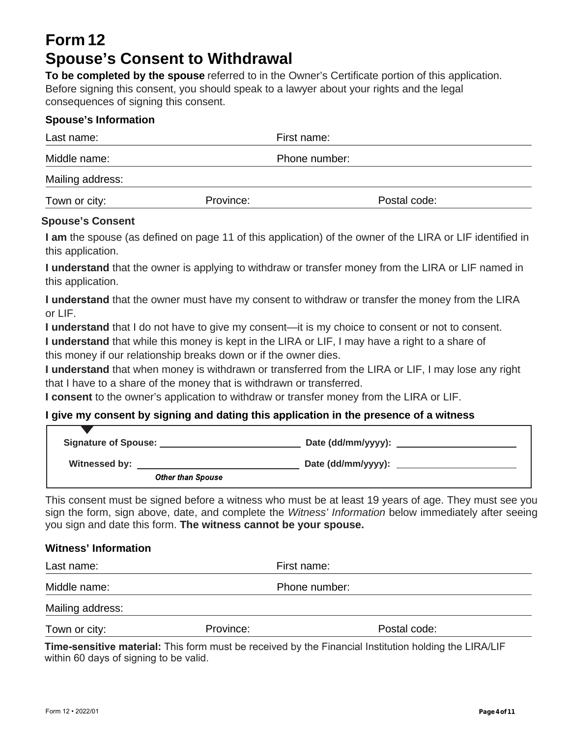## **Form 12 Spouse's Consent to Withdrawal**

**To be completed by the spouse** referred to in the Owner's Certificate portion of this application. Before signing this consent, you should speak to a lawyer about your rights and the legal consequences of signing this consent.

#### **Spouse's Information**

| Last name:       |           | First name:   |  |  |
|------------------|-----------|---------------|--|--|
| Middle name:     |           | Phone number: |  |  |
| Mailing address: |           |               |  |  |
| Town or city:    | Province: | Postal code:  |  |  |

#### **Spouse's Consent**

**I am** the spouse (as defined on page 11 of this application) of the owner of the LIRA or LIF identified in this application.

**I understand** that the owner is applying to withdraw or transfer money from the LIRA or LIF named in this application.

**I understand** that the owner must have my consent to withdraw or transfer the money from the LIRA or LIF.

**I understand** that I do not have to give my consent—it is my choice to consent or not to consent.

**I understand** that while this money is kept in the LIRA or LIF, I may have a right to a share of this money if our relationship breaks down or if the owner dies.

**I understand** that when money is withdrawn or transferred from the LIRA or LIF, I may lose any right that I have to a share of the money that is withdrawn or transferred.

**I consent** to the owner's application to withdraw or transfer money from the LIRA or LIF.

#### **I give my consent by signing and dating this application in the presence of a witness**

| <b>Signature of Spouse:</b> |                          | Date (dd/mm/yyyy): __ |  |
|-----------------------------|--------------------------|-----------------------|--|
| Witnessed by:               |                          | Date (dd/mm/yyyy):    |  |
|                             | <b>Other than Spouse</b> |                       |  |

This consent must be signed before a witness who must be at least 19 years of age. They must see you sign the form, sign above, date, and complete the *Witness' Information* below immediately after seeing you sign and date this form. **The witness cannot be your spouse.**

#### **Witness' Information**

| Last name:       |           | First name:   |              |  |
|------------------|-----------|---------------|--------------|--|
| Middle name:     |           | Phone number: |              |  |
| Mailing address: |           |               |              |  |
| Town or city:    | Province: |               | Postal code: |  |

**Time-sensitive material:** This form must be received by the Financial Institution holding the LIRA/LIF within 60 days of signing to be valid.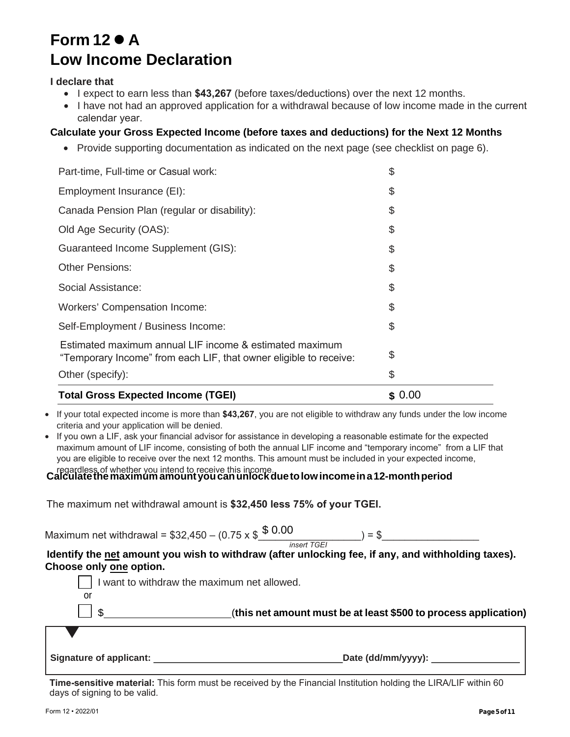## **Form 12 A Low Income Declaration**

#### **I declare that**

- I expect to earn less than **\$43,267** (before taxes/deductions) over the next 12 months.
- I have not had an approved application for a withdrawal because of low income made in the current calendar year.

#### **Calculate your Gross Expected Income (before taxes and deductions) for the Next 12 Months**

• Provide supporting documentation as indicated on the next page (see checklist on page 6).

| <b>Total Gross Expected Income (TGEI)</b>                                                                                    |  |
|------------------------------------------------------------------------------------------------------------------------------|--|
| Other (specify):                                                                                                             |  |
| Estimated maximum annual LIF income & estimated maximum<br>"Temporary Income" from each LIF, that owner eligible to receive: |  |
| Self-Employment / Business Income:                                                                                           |  |
| <b>Workers' Compensation Income:</b>                                                                                         |  |
| Social Assistance:                                                                                                           |  |
| Other Pensions:                                                                                                              |  |
| <b>Guaranteed Income Supplement (GIS):</b>                                                                                   |  |
| Old Age Security (OAS):                                                                                                      |  |
| Canada Pension Plan (regular or disability):                                                                                 |  |
| Employment Insurance (EI):                                                                                                   |  |
| Part-time, Full-time or Casual work:                                                                                         |  |

• If your total expected income is more than **\$43,267**, you are not eligible to withdraw any funds under the low income criteria and your application will be denied.

• If you own a LIF, ask your financial advisor for assistance in developing a reasonable estimate for the expected maximum amount of LIF income, consisting of both the annual LIF income and "temporary income" from a LIF that you are eligible to receive over the next 12 months. This amount must be included in your expected income,

# regardless of whether you intend to receive this income. **Calculate the maximum amount you can unlock due to low income in a 12-month period**

The maximum net withdrawal amount is **\$32,450 less 75% of your TGEI.**

Maximum net withdrawal =  $$32,450 - (0.75 \times $8 \cdot 0.00$   $) = $$ 

*insert TGEI*

**Identify the net amount you wish to withdraw (after unlocking fee, if any, and withholding taxes). Choose only one option.** 

|                         | I want to withdraw the maximum net allowed.                     |
|-------------------------|-----------------------------------------------------------------|
| or                      |                                                                 |
|                         | (this net amount must be at least \$500 to process application) |
|                         |                                                                 |
| Signature of applicant: | Date (dd/mm/yyyy): __                                           |

**Time-sensitive material:** This form must be received by the Financial Institution holding the LIRA/LIF within 60 days of signing to be valid.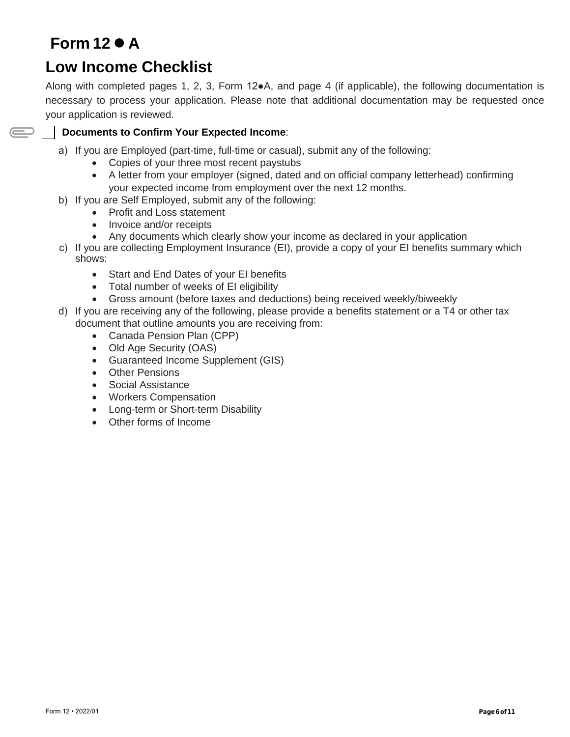# **Form 12 A**

 $\displaystyle\bigoplus$ 

## **Low Income Checklist**

Along with completed pages 1, 2, 3, Form 12●A, and page 4 (if applicable), the following documentation is necessary to process your application. Please note that additional documentation may be requested once your application is reviewed.

#### **Documents to Confirm Your Expected Income**:

- a) If you are Employed (part-time, full-time or casual), submit any of the following:
	- Copies of your three most recent paystubs
	- A letter from your employer (signed, dated and on official company letterhead) confirming your expected income from employment over the next 12 months.
- b) If you are Self Employed, submit any of the following:
	- Profit and Loss statement
	- Invoice and/or receipts
	- Any documents which clearly show your income as declared in your application
- c) If you are collecting Employment Insurance (EI), provide a copy of your EI benefits summary which shows:
	- Start and End Dates of your EI benefits
	- Total number of weeks of EI eligibility
	- Gross amount (before taxes and deductions) being received weekly/biweekly
- d) If you are receiving any of the following, please provide a benefits statement or a T4 or other tax document that outline amounts you are receiving from:
	- Canada Pension Plan (CPP)
	- Old Age Security (OAS)
	- Guaranteed Income Supplement (GIS)
	- Other Pensions
	- Social Assistance
	- Workers Compensation
	- Long-term or Short-term Disability
	- Other forms of Income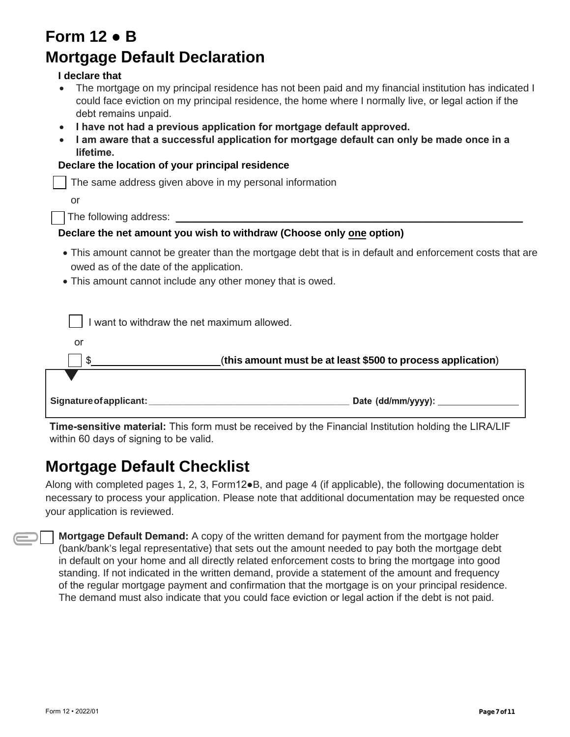| Form 12 $\bullet$ B                                                                                                                                                                                                                    |
|----------------------------------------------------------------------------------------------------------------------------------------------------------------------------------------------------------------------------------------|
| <b>Mortgage Default Declaration</b>                                                                                                                                                                                                    |
| I declare that                                                                                                                                                                                                                         |
| The mortgage on my principal residence has not been paid and my financial institution has indicated I<br>could face eviction on my principal residence, the home where I normally live, or legal action if the<br>debt remains unpaid. |
| I have not had a previous application for mortgage default approved.                                                                                                                                                                   |
| I am aware that a successful application for mortgage default can only be made once in a                                                                                                                                               |
| lifetime.<br>Declare the location of your principal residence                                                                                                                                                                          |
|                                                                                                                                                                                                                                        |
| The same address given above in my personal information                                                                                                                                                                                |
| or                                                                                                                                                                                                                                     |
|                                                                                                                                                                                                                                        |
| Declare the net amount you wish to withdraw (Choose only one option)                                                                                                                                                                   |
| • This amount cannot be greater than the mortgage debt that is in default and enforcement costs that are<br>owed as of the date of the application.                                                                                    |
| • This amount cannot include any other money that is owed.                                                                                                                                                                             |
|                                                                                                                                                                                                                                        |
| I want to withdraw the net maximum allowed.                                                                                                                                                                                            |
| <b>or</b>                                                                                                                                                                                                                              |
| (this amount must be at least \$500 to process application)<br>\$                                                                                                                                                                      |
|                                                                                                                                                                                                                                        |
| Date (dd/mm/yyyy):<br>Signature of applicant:                                                                                                                                                                                          |

**Time-sensitive material:** This form must be received by the Financial Institution holding the LIRA/LIF within 60 days of signing to be valid.

## **Mortgage Default Checklist**

Along with completed pages 1, 2, 3, Form12●B, and page 4 (if applicable), the following documentation is necessary to process your application. Please note that additional documentation may be requested once your application is reviewed.

**Mortgage Default Demand:** A copy of the written demand for payment from the mortgage holder (bank/bank's legal representative) that sets out the amount needed to pay both the mortgage debt in default on your home and all directly related enforcement costs to bring the mortgage into good standing. If not indicated in the written demand, provide a statement of the amount and frequency of the regular mortgage payment and confirmation that the mortgage is on your principal residence. The demand must also indicate that you could face eviction or legal action if the debt is not paid.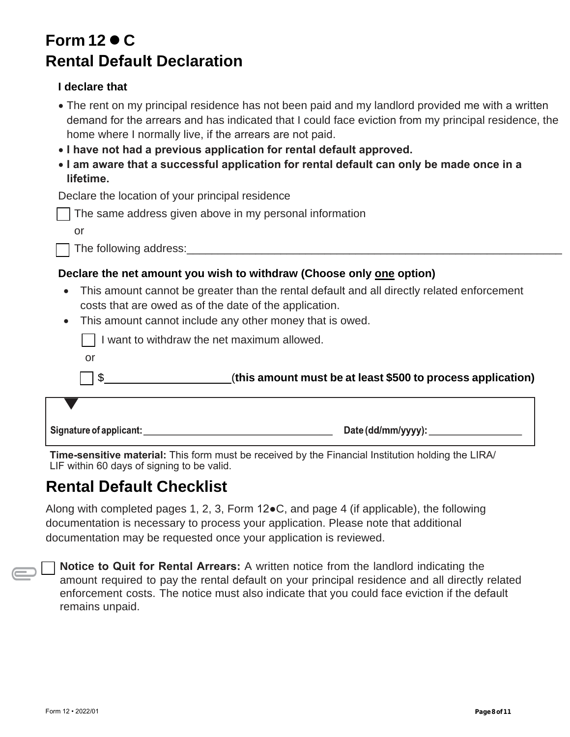# **Form 12 C Rental Default Declaration**

### **I declare that**

- The rent on my principal residence has not been paid and my landlord provided me with a written demand for the arrears and has indicated that I could face eviction from my principal residence, the home where I normally live, if the arrears are not paid.
- **I have not had a previous application for rental default approved.**
- **I am aware that a successful application for rental default can only be made once in a lifetime.**

Declare the location of your principal residence

|  |  |  |  |  |  | The same address given above in my personal information |
|--|--|--|--|--|--|---------------------------------------------------------|
|--|--|--|--|--|--|---------------------------------------------------------|

or

The following address:

### **Declare the net amount you wish to withdraw (Choose only one option)**

- This amount cannot be greater than the rental default and all directly related enforcement costs that are owed as of the date of the application.
- This amount cannot include any other money that is owed.

|    | (this amount must be at least \$500 to process application) |
|----|-------------------------------------------------------------|
| or |                                                             |
|    | I want to withdraw the net maximum allowed.                 |

Date (dd/mm/yyyy):

**Time-sensitive material:** This form must be received by the Financial Institution holding the LIRA/ LIF within 60 days of signing to be valid.

## **Rental Default Checklist**

Signature of applicant:

Along with completed pages 1, 2, 3, Form 12●C, and page 4 (if applicable), the following documentation is necessary to process your application. Please note that additional documentation may be requested once your application is reviewed.

**Notice to Quit for Rental Arrears:** A written notice from the landlord indicating the amount required to pay the rental default on your principal residence and all directly related enforcement costs. The notice must also indicate that you could face eviction if the default remains unpaid.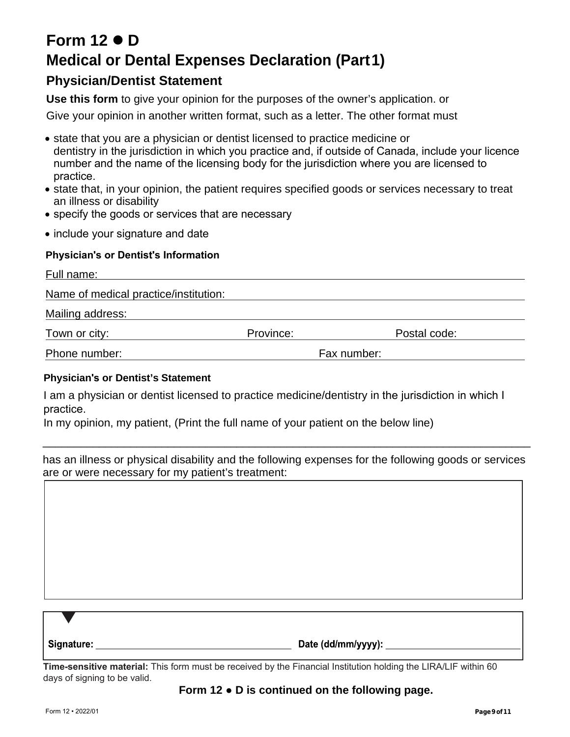# **Form 12 D Medical or Dental Expenses Declaration (Part1)**

## **Physician/Dentist Statement**

**Use this form** to give your opinion for the purposes of the owner's application. or

Give your opinion in another written format, such as a letter. The other format must

- state that you are a physician or dentist licensed to practice medicine or dentistry in the jurisdiction in which you practice and, if outside of Canada, include your licence number and the name of the licensing body for the jurisdiction where you are licensed to practice.
- state that, in your opinion, the patient requires specified goods or services necessary to treat an illness or disability
- specify the goods or services that are necessary
- include your signature and date

#### **Physician's or Dentist's Information**

| Full name:                            |           |             |              |
|---------------------------------------|-----------|-------------|--------------|
| Name of medical practice/institution: |           |             |              |
| Mailing address:                      |           |             |              |
| Town or city:                         | Province: |             | Postal code: |
| Phone number:                         |           | Fax number: |              |
| Physician's or Dentist's Statement    |           |             |              |

#### **Physician's or Dentist's Statement**

I am a physician or dentist licensed to practice medicine/dentistry in the jurisdiction in which I practice.

In my opinion, my patient, (Print the full name of your patient on the below line)

has an illness or physical disability and the following expenses for the following goods or services are or were necessary for my patient's treatment:

\_\_\_\_\_\_\_\_\_\_\_\_\_\_\_\_\_\_\_\_\_\_\_\_\_\_\_\_\_\_\_\_\_\_\_\_\_\_\_\_\_\_\_\_\_\_\_\_\_\_\_\_\_\_\_\_\_\_\_\_\_\_\_\_\_\_\_\_\_\_\_\_\_\_\_\_\_\_

| Signature: | Date (dd/mm/yyyy): |
|------------|--------------------|

**Time-sensitive material:** This form must be received by the Financial Institution holding the LIRA/LIF within 60 days of signing to be valid.

#### **Form 12** ● **D is continued on the following page.**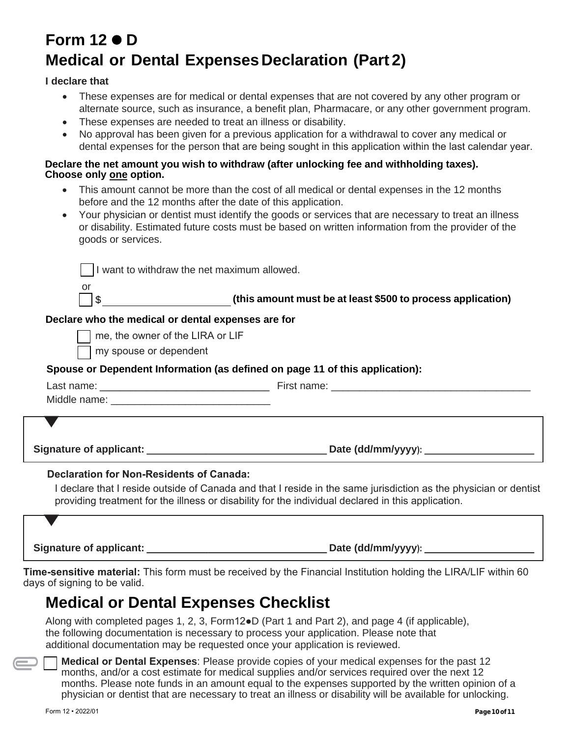# **Form 12 D Medical or Dental Expenses Declaration (Part 2)**

#### **I declare that**

- These expenses are for medical or dental expenses that are not covered by any other program or alternate source, such as insurance, a benefit plan, Pharmacare, or any other government program.
- These expenses are needed to treat an illness or disability.
- No approval has been given for a previous application for a withdrawal to cover any medical or dental expenses for the person that are being sought in this application within the last calendar year.

#### **Declare the net amount you wish to withdraw (after unlocking fee and withholding taxes). Choose only one option.**

- This amount cannot be more than the cost of all medical or dental expenses in the 12 months before and the 12 months after the date of this application.
- Your physician or dentist must identify the goods or services that are necessary to treat an illness or disability. Estimated future costs must be based on written information from the provider of the goods or services.

| I want to withdraw the net maximum allowed.        |                                                                                                                                                                                                                        |
|----------------------------------------------------|------------------------------------------------------------------------------------------------------------------------------------------------------------------------------------------------------------------------|
| or<br>\$                                           | (this amount must be at least \$500 to process application)                                                                                                                                                            |
| Declare who the medical or dental expenses are for |                                                                                                                                                                                                                        |
| me, the owner of the LIRA or LIF                   |                                                                                                                                                                                                                        |
| my spouse or dependent                             |                                                                                                                                                                                                                        |
|                                                    | Spouse or Dependent Information (as defined on page 11 of this application):                                                                                                                                           |
|                                                    |                                                                                                                                                                                                                        |
|                                                    |                                                                                                                                                                                                                        |
|                                                    |                                                                                                                                                                                                                        |
|                                                    |                                                                                                                                                                                                                        |
| Declaration for Non-Residents of Canada:           | I declare that I reside outside of Canada and that I reside in the same jurisdiction as the physician or dentist<br>providing treatment for the illness or disability for the individual declared in this application. |

Signature of applicant: **Date (dd/mm/yyyy):** \_

**Time-sensitive material:** This form must be received by the Financial Institution holding the LIRA/LIF within 60 days of signing to be valid.

## **Medical or Dental Expenses Checklist**

Along with completed pages 1, 2, 3, Form12●D (Part 1 and Part 2), and page 4 (if applicable), the following documentation is necessary to process your application. Please note that additional documentation may be requested once your application is reviewed.

**Medical or Dental Expenses**: Please provide copies of your medical expenses for the past 12 months, and/or a cost estimate for medical supplies and/or services required over the next 12 months. Please note funds in an amount equal to the expenses supported by the written opinion of a physician or dentist that are necessary to treat an illness or disability will be available for unlocking.